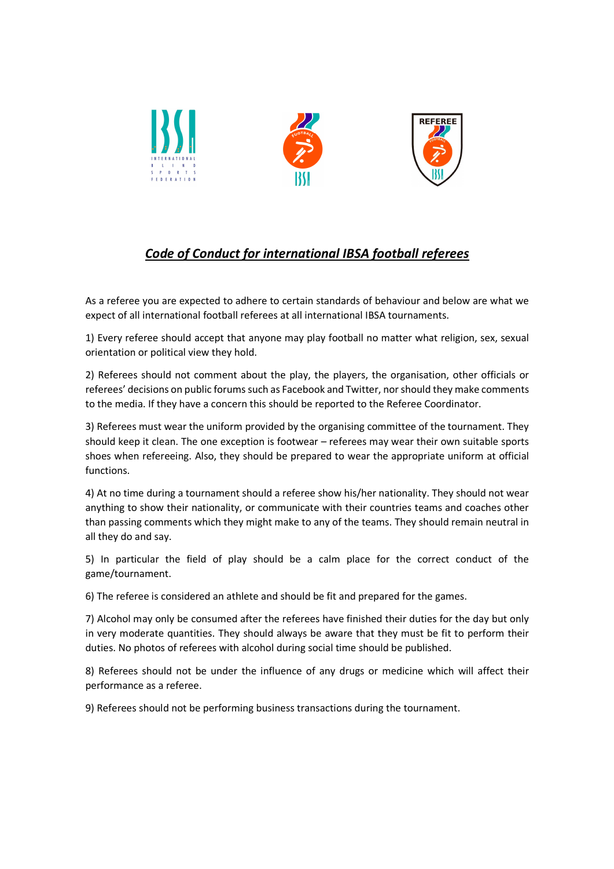

## Code of Conduct for international IBSA football referees

As a referee you are expected to adhere to certain standards of behaviour and below are what we expect of all international football referees at all international IBSA tournaments.

1) Every referee should accept that anyone may play football no matter what religion, sex, sexual orientation or political view they hold.

2) Referees should not comment about the play, the players, the organisation, other officials or referees' decisions on public forums such as Facebook and Twitter, nor should they make comments to the media. If they have a concern this should be reported to the Referee Coordinator.

3) Referees must wear the uniform provided by the organising committee of the tournament. They should keep it clean. The one exception is footwear – referees may wear their own suitable sports shoes when refereeing. Also, they should be prepared to wear the appropriate uniform at official functions.

4) At no time during a tournament should a referee show his/her nationality. They should not wear anything to show their nationality, or communicate with their countries teams and coaches other than passing comments which they might make to any of the teams. They should remain neutral in all they do and say.

5) In particular the field of play should be a calm place for the correct conduct of the game/tournament.

6) The referee is considered an athlete and should be fit and prepared for the games.

7) Alcohol may only be consumed after the referees have finished their duties for the day but only in very moderate quantities. They should always be aware that they must be fit to perform their duties. No photos of referees with alcohol during social time should be published.

8) Referees should not be under the influence of any drugs or medicine which will affect their performance as a referee.

9) Referees should not be performing business transactions during the tournament.